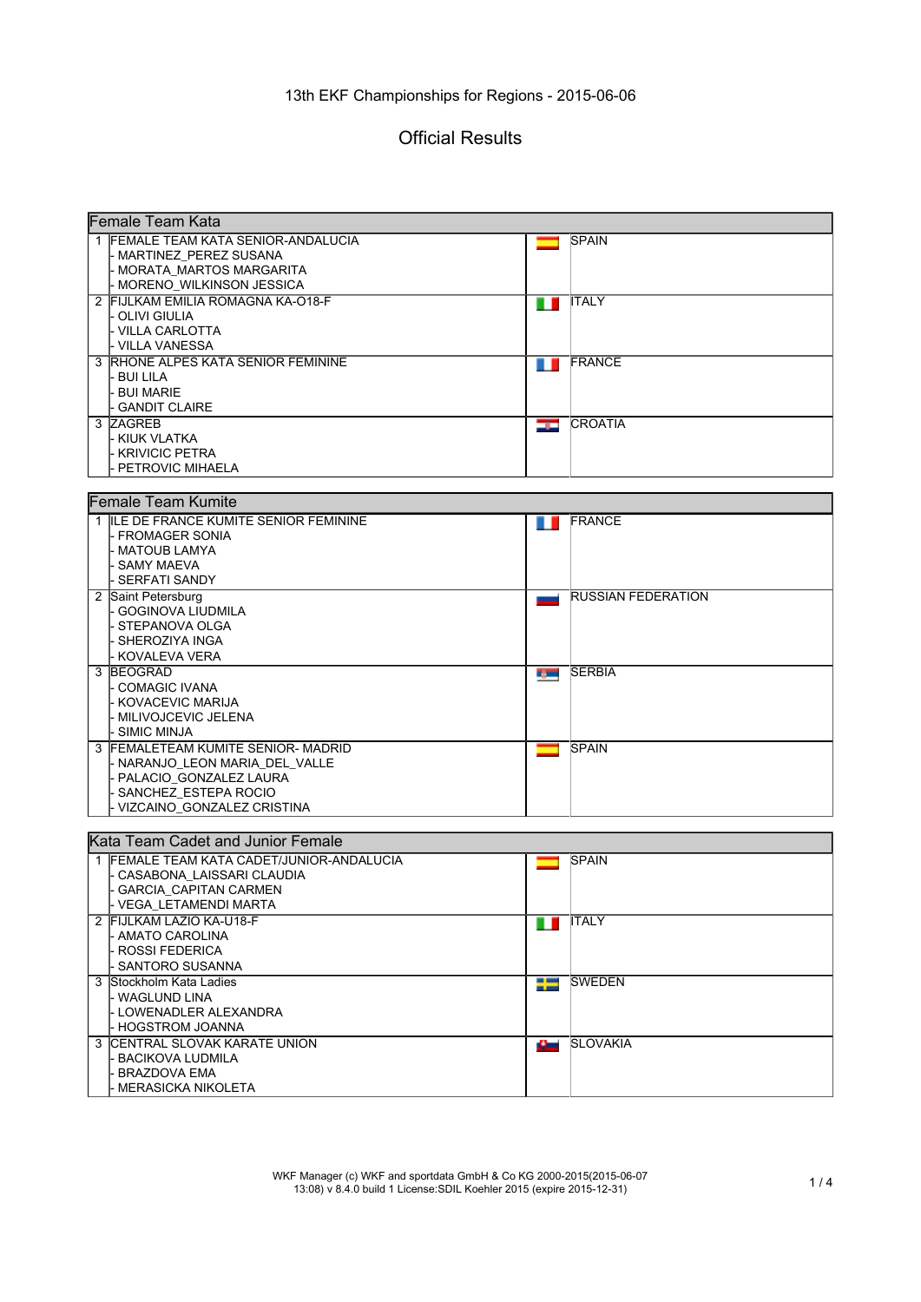# Official Results

| Female Team Kata                          |       |                           |  |  |
|-------------------------------------------|-------|---------------------------|--|--|
| 1 FEMALE TEAM KATA SENIOR-ANDALUCIA       |       | <b>SPAIN</b>              |  |  |
| - MARTINEZ PEREZ SUSANA                   |       |                           |  |  |
| - MORATA MARTOS MARGARITA                 |       |                           |  |  |
| - MORENO WILKINSON JESSICA                |       |                           |  |  |
| 2 FIJLKAM EMILIA ROMAGNA KA-O18-F         | H     | <b>ITALY</b>              |  |  |
| - OLIVI GIULIA                            |       |                           |  |  |
| - VILLA CARLOTTA                          |       |                           |  |  |
| - VILLA VANESSA                           |       |                           |  |  |
| 3 RHONE ALPES KATA SENIOR FEMININE        | n L   | <b>FRANCE</b>             |  |  |
| - BUI LILA                                |       |                           |  |  |
| - BUI MARIE                               |       |                           |  |  |
| - GANDIT CLAIRE                           |       |                           |  |  |
| 3 ZAGREB                                  | أصورك | <b>CROATIA</b>            |  |  |
| - KIUK VLATKA                             |       |                           |  |  |
| - KRIVICIC PETRA                          |       |                           |  |  |
| PETROVIC MIHAELA                          |       |                           |  |  |
|                                           |       |                           |  |  |
| <b>Female Team Kumite</b>                 |       |                           |  |  |
| 1 ILE DE FRANCE KUMITE SENIOR FEMININE    | n n   | <b>IFRANCE</b>            |  |  |
| - FROMAGER SONIA                          |       |                           |  |  |
| - MATOUB LAMYA                            |       |                           |  |  |
| - SAMY MAEVA                              |       |                           |  |  |
| - SERFATI SANDY                           |       |                           |  |  |
| 2 Saint Petersburg                        | ليور  | <b>RUSSIAN FEDERATION</b> |  |  |
| - GOGINOVA LIUDMILA                       |       |                           |  |  |
| - STEPANOVA OLGA                          |       |                           |  |  |
| - SHEROZIYA INGA                          |       |                           |  |  |
| - KOVALEVA VERA                           |       |                           |  |  |
| 3 BEOGRAD                                 | rg —  | <b>SERBIA</b>             |  |  |
| - COMAGIC IVANA                           |       |                           |  |  |
| - KOVACEVIC MARIJA                        |       |                           |  |  |
| - MILIVOJCEVIC JELENA                     |       |                           |  |  |
| - SIMIC MINJA                             |       |                           |  |  |
| 3 FEMALETEAM KUMITE SENIOR- MADRID        |       | <b>SPAIN</b>              |  |  |
| - NARANJO_LEON MARIA_DEL_VALLE            |       |                           |  |  |
| - PALACIO GONZALEZ LAURA                  |       |                           |  |  |
| - SANCHEZ ESTEPA ROCIO                    |       |                           |  |  |
| VIZCAINO_GONZALEZ CRISTINA                |       |                           |  |  |
|                                           |       |                           |  |  |
| Kata Team Cadet and Junior Female         |       |                           |  |  |
| 1 FEMALE TEAM KATA CADET/JUNIOR-ANDALUCIA |       | <b>SPAIN</b>              |  |  |
| - CASABONA_LAISSARI CLAUDIA               |       |                           |  |  |
| - GARCIA_CAPITAN CARMEN                   |       |                           |  |  |
| - VEGA_LETAMENDI MARTA                    |       |                           |  |  |
| 2 FIJLKAM LAZIO KA-U18-F                  | ш     | <b>ITALY</b>              |  |  |
| - AMATO CAROLINA                          |       |                           |  |  |
| <b>ROSSI FEDERICA</b>                     |       |                           |  |  |
| SANTORO SUSANNA                           |       |                           |  |  |
| 3 Stockholm Kata Ladies                   | ł     | <b>SWEDEN</b>             |  |  |
| - WAGLUND LINA                            |       |                           |  |  |
| - LOWENADLER ALEXANDRA                    |       |                           |  |  |
| - HOGSTROM JOANNA                         |       |                           |  |  |
| 3 CENTRAL SLOVAK KARATE UNION             | 42.00 | <b>SLOVAKIA</b>           |  |  |
| <b>BACIKOVA LUDMILA</b>                   |       |                           |  |  |
| <b>BRAZDOVA EMA</b>                       |       |                           |  |  |
| MERASICKA NIKOLETA                        |       |                           |  |  |

WKF Manager (c) WKF and sportdata GmbH & Co KG 2000-2015(2015-06-07 13:08) v 8.4.0 build 1 License:SDIL Koehler 2015 (expire 2015-12-31) 1 / 4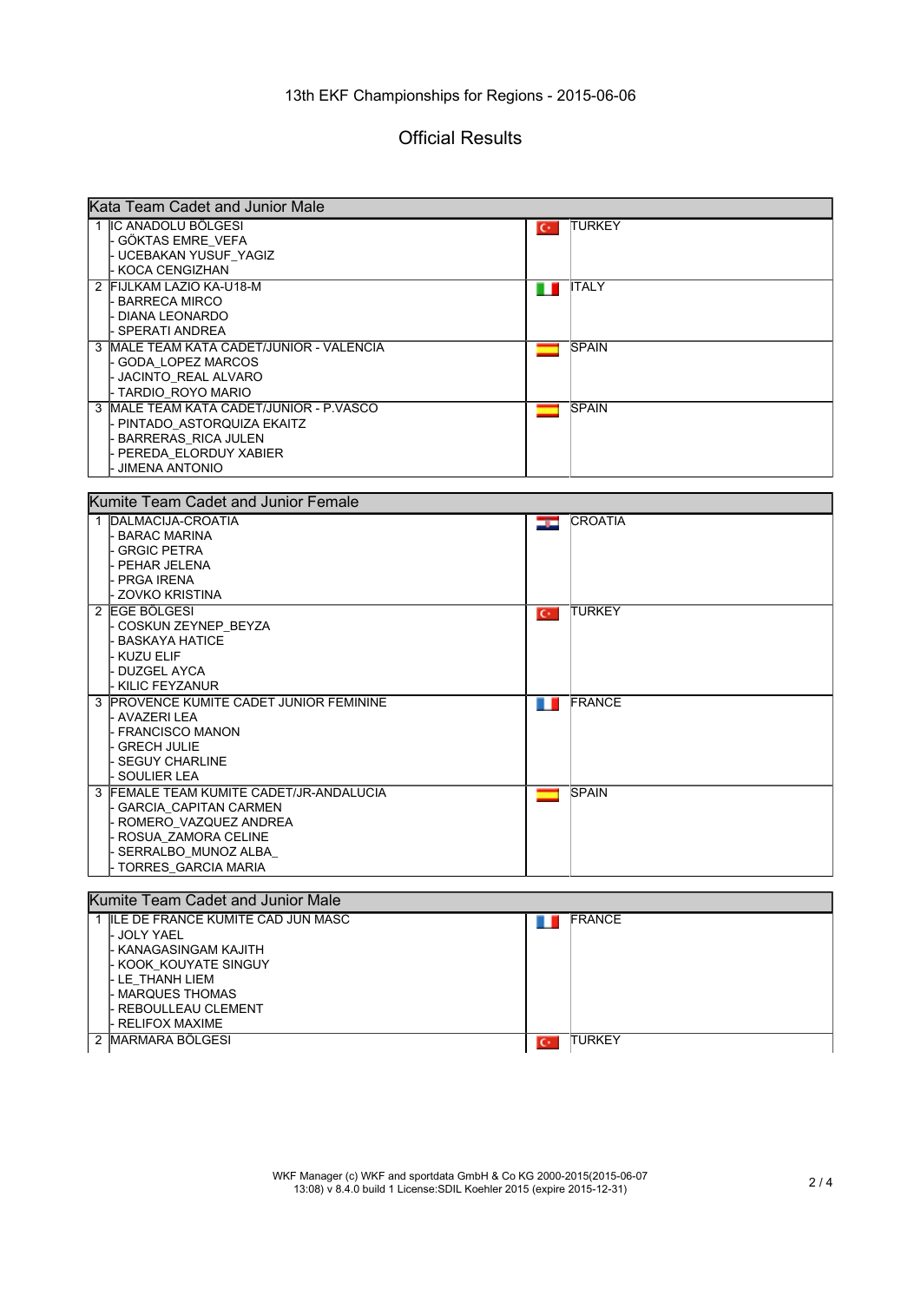#### 13th EKF Championships for Regions - 2015-06-06

### Official Results

|   | Kata Team Cadet and Junior Male                  |       |                                                                                                                                                                                                                                                                                                                                                                                                                                                                                            |  |  |  |
|---|--------------------------------------------------|-------|--------------------------------------------------------------------------------------------------------------------------------------------------------------------------------------------------------------------------------------------------------------------------------------------------------------------------------------------------------------------------------------------------------------------------------------------------------------------------------------------|--|--|--|
|   | 1 IIC ANADOLU BÖLGESI                            | $C^*$ | <b>ITURKEY</b>                                                                                                                                                                                                                                                                                                                                                                                                                                                                             |  |  |  |
|   | - GÖKTAS EMRE VEFA                               |       |                                                                                                                                                                                                                                                                                                                                                                                                                                                                                            |  |  |  |
|   | - UCEBAKAN YUSUF_YAGIZ                           |       |                                                                                                                                                                                                                                                                                                                                                                                                                                                                                            |  |  |  |
|   | - KOCA CENGIZHAN                                 |       |                                                                                                                                                                                                                                                                                                                                                                                                                                                                                            |  |  |  |
|   | 2 FIJLKAM LAZIO KA-U18-M                         |       | $\blacksquare$ $\blacksquare$ $\blacksquare$ $\blacksquare$ $\blacksquare$ $\blacksquare$ $\blacksquare$ $\blacksquare$ $\blacksquare$ $\blacksquare$ $\blacksquare$ $\blacksquare$ $\blacksquare$ $\blacksquare$ $\blacksquare$ $\blacksquare$ $\blacksquare$ $\blacksquare$ $\blacksquare$ $\blacksquare$ $\blacksquare$ $\blacksquare$ $\blacksquare$ $\blacksquare$ $\blacksquare$ $\blacksquare$ $\blacksquare$ $\blacksquare$ $\blacksquare$ $\blacksquare$ $\blacksquare$ $\blacks$ |  |  |  |
|   | - BARRECA MIRCO                                  |       |                                                                                                                                                                                                                                                                                                                                                                                                                                                                                            |  |  |  |
|   | - DIANA LEONARDO                                 |       |                                                                                                                                                                                                                                                                                                                                                                                                                                                                                            |  |  |  |
|   | - SPERATI ANDREA                                 |       |                                                                                                                                                                                                                                                                                                                                                                                                                                                                                            |  |  |  |
|   | 3 IMALE TEAM KATA CADET/JUNIOR - VALENCIA        | ▄▄    | <b>SPAIN</b>                                                                                                                                                                                                                                                                                                                                                                                                                                                                               |  |  |  |
|   | - GODA LOPEZ MARCOS                              |       |                                                                                                                                                                                                                                                                                                                                                                                                                                                                                            |  |  |  |
|   | - JACINTO REAL ALVARO                            |       |                                                                                                                                                                                                                                                                                                                                                                                                                                                                                            |  |  |  |
|   | - TARDIO_ROYO MARIO                              |       |                                                                                                                                                                                                                                                                                                                                                                                                                                                                                            |  |  |  |
| 3 | MALE TEAM KATA CADET/JUNIOR - P.VASCO            | –     | <b>SPAIN</b>                                                                                                                                                                                                                                                                                                                                                                                                                                                                               |  |  |  |
|   | - PINTADO_ASTORQUIZA EKAITZ                      |       |                                                                                                                                                                                                                                                                                                                                                                                                                                                                                            |  |  |  |
|   | - BARRERAS_RICA JULEN                            |       |                                                                                                                                                                                                                                                                                                                                                                                                                                                                                            |  |  |  |
|   | - PEREDA_ELORDUY XABIER                          |       |                                                                                                                                                                                                                                                                                                                                                                                                                                                                                            |  |  |  |
|   | - JIMENA ANTONIO                                 |       |                                                                                                                                                                                                                                                                                                                                                                                                                                                                                            |  |  |  |
|   |                                                  |       |                                                                                                                                                                                                                                                                                                                                                                                                                                                                                            |  |  |  |
|   | Kumite Team Cadet and Junior Female              |       |                                                                                                                                                                                                                                                                                                                                                                                                                                                                                            |  |  |  |
|   |                                                  |       | <b>CROATIA</b>                                                                                                                                                                                                                                                                                                                                                                                                                                                                             |  |  |  |
|   | 1 DALMACIJA-CROATIA<br>- BARAC MARINA            | صوص   |                                                                                                                                                                                                                                                                                                                                                                                                                                                                                            |  |  |  |
|   | - GRGIC PETRA                                    |       |                                                                                                                                                                                                                                                                                                                                                                                                                                                                                            |  |  |  |
|   | - PEHAR JELENA                                   |       |                                                                                                                                                                                                                                                                                                                                                                                                                                                                                            |  |  |  |
|   | - PRGA IRENA                                     |       |                                                                                                                                                                                                                                                                                                                                                                                                                                                                                            |  |  |  |
|   | - ZOVKO KRISTINA                                 |       |                                                                                                                                                                                                                                                                                                                                                                                                                                                                                            |  |  |  |
|   | EGE BÖLGESI                                      |       |                                                                                                                                                                                                                                                                                                                                                                                                                                                                                            |  |  |  |
| 2 | - COSKUN ZEYNEP_BEYZA                            | $C^*$ | <b>TURKEY</b>                                                                                                                                                                                                                                                                                                                                                                                                                                                                              |  |  |  |
|   | - BASKAYA HATICE                                 |       |                                                                                                                                                                                                                                                                                                                                                                                                                                                                                            |  |  |  |
|   | - KUZU ELIF                                      |       |                                                                                                                                                                                                                                                                                                                                                                                                                                                                                            |  |  |  |
|   | - DUZGEL AYCA                                    |       |                                                                                                                                                                                                                                                                                                                                                                                                                                                                                            |  |  |  |
|   | I- KILIC FEYZANUR                                |       |                                                                                                                                                                                                                                                                                                                                                                                                                                                                                            |  |  |  |
|   | 3 PROVENCE KUMITE CADET JUNIOR FEMININE          |       | <b>FRANCE</b>                                                                                                                                                                                                                                                                                                                                                                                                                                                                              |  |  |  |
|   | l- AVAZERI LEA                                   | n n   |                                                                                                                                                                                                                                                                                                                                                                                                                                                                                            |  |  |  |
|   | - FRANCISCO MANON                                |       |                                                                                                                                                                                                                                                                                                                                                                                                                                                                                            |  |  |  |
|   | l- GRECH JULIE                                   |       |                                                                                                                                                                                                                                                                                                                                                                                                                                                                                            |  |  |  |
|   | - SEGUY CHARLINE                                 |       |                                                                                                                                                                                                                                                                                                                                                                                                                                                                                            |  |  |  |
|   | - SOULIER LEA                                    |       |                                                                                                                                                                                                                                                                                                                                                                                                                                                                                            |  |  |  |
|   | 3 FEMALE TEAM KUMITE CADET/JR-ANDALUCIA          |       | <b>SPAIN</b>                                                                                                                                                                                                                                                                                                                                                                                                                                                                               |  |  |  |
|   | - GARCIA CAPITAN CARMEN                          |       |                                                                                                                                                                                                                                                                                                                                                                                                                                                                                            |  |  |  |
|   |                                                  |       |                                                                                                                                                                                                                                                                                                                                                                                                                                                                                            |  |  |  |
|   | - ROMERO_VAZQUEZ ANDREA<br>- ROSUA_ZAMORA CELINE |       |                                                                                                                                                                                                                                                                                                                                                                                                                                                                                            |  |  |  |
|   |                                                  |       |                                                                                                                                                                                                                                                                                                                                                                                                                                                                                            |  |  |  |
|   | - SERRALBO_MUNOZ ALBA_                           |       |                                                                                                                                                                                                                                                                                                                                                                                                                                                                                            |  |  |  |
|   | - TORRES_GARCIA MARIA                            |       |                                                                                                                                                                                                                                                                                                                                                                                                                                                                                            |  |  |  |
|   |                                                  |       |                                                                                                                                                                                                                                                                                                                                                                                                                                                                                            |  |  |  |
|   | Kumite Team Cadet and Junior Male                |       |                                                                                                                                                                                                                                                                                                                                                                                                                                                                                            |  |  |  |
|   | 1 ILE DE FRANCE KUMITE CAD JUN MASC              |       | FRANCE                                                                                                                                                                                                                                                                                                                                                                                                                                                                                     |  |  |  |
|   | - JOLY YAEL                                      |       |                                                                                                                                                                                                                                                                                                                                                                                                                                                                                            |  |  |  |
|   | - KANAGASINGAM KAJITH                            |       |                                                                                                                                                                                                                                                                                                                                                                                                                                                                                            |  |  |  |
|   | - KOOK_KOUYATE SINGUY                            |       |                                                                                                                                                                                                                                                                                                                                                                                                                                                                                            |  |  |  |
|   | - LE_THANH LIEM                                  |       |                                                                                                                                                                                                                                                                                                                                                                                                                                                                                            |  |  |  |
|   | - MARQUES THOMAS                                 |       |                                                                                                                                                                                                                                                                                                                                                                                                                                                                                            |  |  |  |
|   | - REBOULLEAU CLEMENT                             |       |                                                                                                                                                                                                                                                                                                                                                                                                                                                                                            |  |  |  |

2 MARMARA BÖLGESI **TURKEY** 

- RELIFOX MAXIME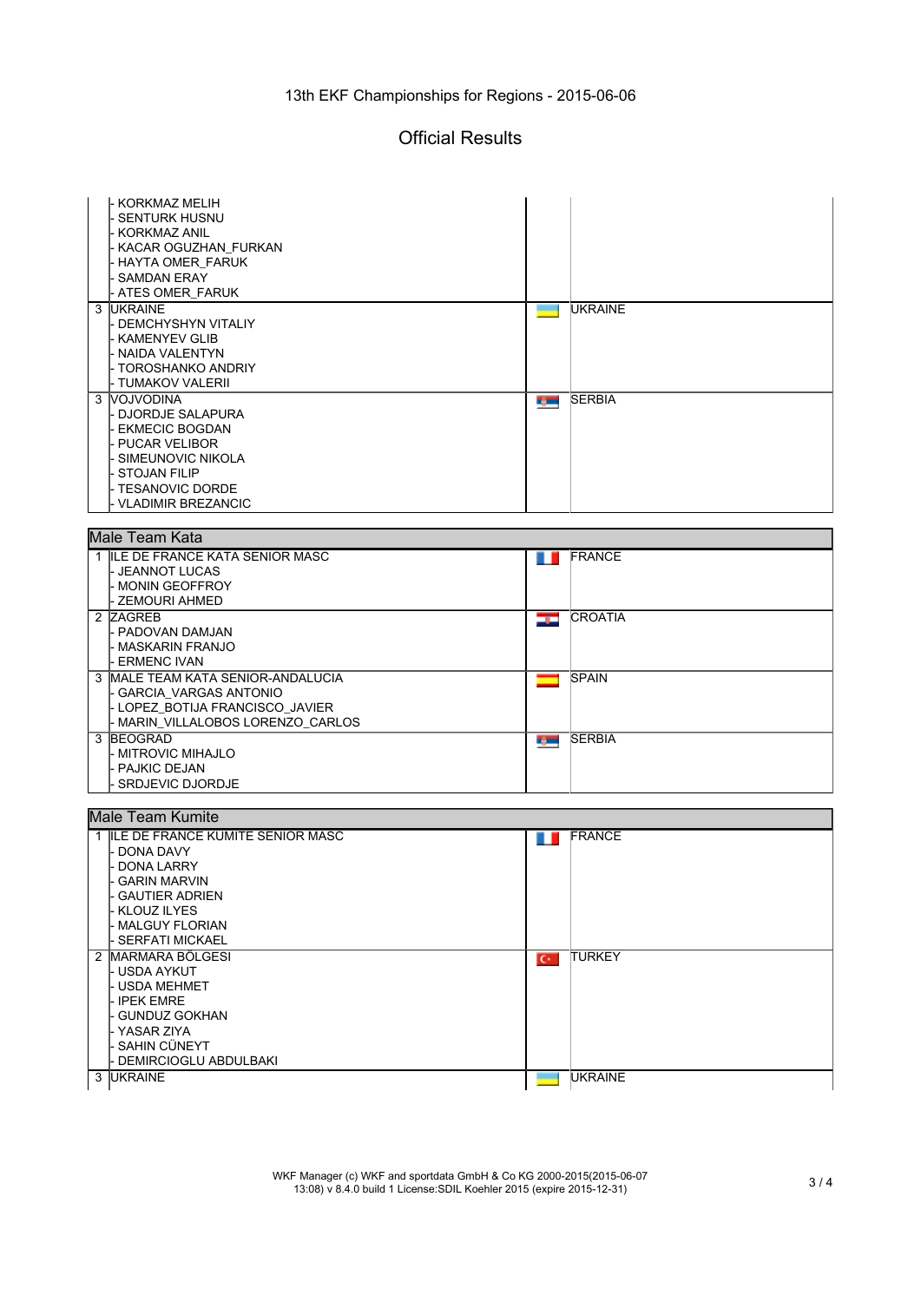#### 13th EKF Championships for Regions - 2015-06-06

### Official Results

| - KORKMAZ MELIH                     |                 |                |  |  |  |
|-------------------------------------|-----------------|----------------|--|--|--|
| <b>SENTURK HUSNU</b>                |                 |                |  |  |  |
| KORKMAZ ANIL                        |                 |                |  |  |  |
| - KACAR OGUZHAN_FURKAN              |                 |                |  |  |  |
| - HAYTA OMER_FARUK                  |                 |                |  |  |  |
| <b>SAMDAN ERAY</b>                  |                 |                |  |  |  |
|                                     |                 |                |  |  |  |
| <b>ATES OMER FARUK</b>              |                 |                |  |  |  |
| 3 UKRAINE                           | <b>Contract</b> | <b>UKRAINE</b> |  |  |  |
| - DEMCHYSHYN VITALIY                |                 |                |  |  |  |
| - KAMENYEV GLIB                     |                 |                |  |  |  |
| - NAIDA VALENTYN                    |                 |                |  |  |  |
| - TOROSHANKO ANDRIY                 |                 |                |  |  |  |
| - TUMAKOV VALERII                   |                 |                |  |  |  |
|                                     |                 |                |  |  |  |
| 3 VOJVODINA                         | rg m            | <b>SERBIA</b>  |  |  |  |
| - DJORDJE SALAPURA                  |                 |                |  |  |  |
| <b>EKMECIC BOGDAN</b>               |                 |                |  |  |  |
| <b>PUCAR VELIBOR</b>                |                 |                |  |  |  |
| SIMEUNOVIC NIKOLA                   |                 |                |  |  |  |
| <b>STOJAN FILIP</b>                 |                 |                |  |  |  |
|                                     |                 |                |  |  |  |
| - TESANOVIC DORDE                   |                 |                |  |  |  |
| <b>VLADIMIR BREZANCIC</b>           |                 |                |  |  |  |
|                                     |                 |                |  |  |  |
| Male Team Kata                      |                 |                |  |  |  |
| 1 ILE DE FRANCE KATA SENIOR MASC    |                 | <b>FRANCE</b>  |  |  |  |
|                                     | ш               |                |  |  |  |
| JEANNOT LUCAS                       |                 |                |  |  |  |
| - MONIN GEOFFROY                    |                 |                |  |  |  |
| - ZEMOURI AHMED                     |                 |                |  |  |  |
| 2 ZAGREB                            | درتك            | <b>CROATIA</b> |  |  |  |
| - PADOVAN DAMJAN                    |                 |                |  |  |  |
| - MASKARIN FRANJO                   |                 |                |  |  |  |
|                                     |                 |                |  |  |  |
| - ERMENC IVAN                       |                 |                |  |  |  |
| 3 MALE TEAM KATA SENIOR-ANDALUCIA   |                 | <b>SPAIN</b>   |  |  |  |
| - GARCIA_VARGAS ANTONIO             |                 |                |  |  |  |
| - LOPEZ_BOTIJA FRANCISCO_JAVIER     |                 |                |  |  |  |
| - MARIN_VILLALOBOS LORENZO_CARLOS   |                 |                |  |  |  |
| 3 BEOGRAD                           | r yw            | <b>SERBIA</b>  |  |  |  |
| - MITROVIC MIHAJLO                  |                 |                |  |  |  |
|                                     |                 |                |  |  |  |
| - PAJKIC DEJAN                      |                 |                |  |  |  |
| SRDJEVIC DJORDJE                    |                 |                |  |  |  |
|                                     |                 |                |  |  |  |
| <b>Male Team Kumite</b>             |                 |                |  |  |  |
|                                     |                 |                |  |  |  |
|                                     |                 |                |  |  |  |
| 1 ILE DE FRANCE KUMITE SENIOR MASC  | . .             | <b>FRANCE</b>  |  |  |  |
| DONA DAVY                           |                 |                |  |  |  |
| <b>DONA LARRY</b>                   |                 |                |  |  |  |
| <b>GARIN MARVIN</b>                 |                 |                |  |  |  |
| <b>GAUTIER ADRIEN</b>               |                 |                |  |  |  |
| <b>KLOUZ ILYES</b>                  |                 |                |  |  |  |
| <b>MALGUY FLORIAN</b>               |                 |                |  |  |  |
|                                     |                 |                |  |  |  |
| <b>SERFATI MICKAEL</b>              |                 |                |  |  |  |
| 2 MARMARA BÖLGESI                   | $C^*$           | <b>TURKEY</b>  |  |  |  |
| - USDA AYKUT                        |                 |                |  |  |  |
| - USDA MEHMET                       |                 |                |  |  |  |
| <b>IPEK EMRE</b>                    |                 |                |  |  |  |
| <b>GUNDUZ GOKHAN</b>                |                 |                |  |  |  |
|                                     |                 |                |  |  |  |
| - YASAR ZIYA                        |                 |                |  |  |  |
| · SAHIN CÜNEYT                      |                 |                |  |  |  |
| DEMIRCIOGLU ABDULBAKI<br>3  UKRAINE |                 | <b>UKRAINE</b> |  |  |  |

WKF Manager (c) WKF and sportdata GmbH & Co KG 2000-2015(2015-06-07 13:08) v 8.4.0 build 1 License:SDIL Koehler 2015 (expire 2015-12-31) 3 / 4